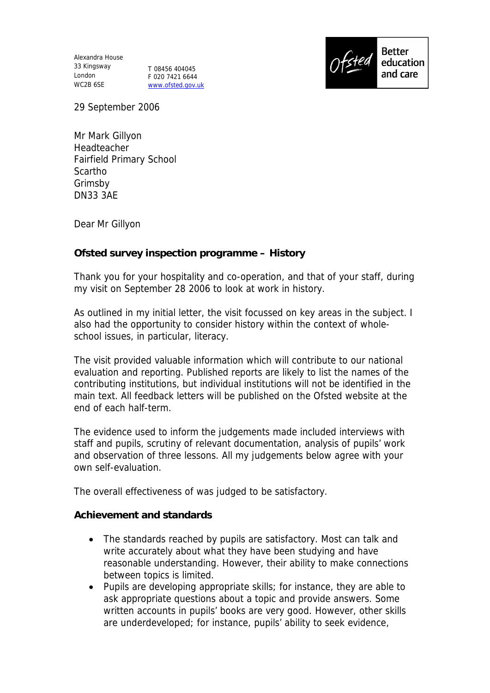Alexandra House 33 Kingsway London WC2B 6SE

T 08456 404045 F 020 7421 6644 www.ofsted.gov.uk



29 September 2006

Mr Mark Gillyon Headteacher Fairfield Primary School Scartho Grimsby DN33 3AE

Dear Mr Gillyon

## **Ofsted survey inspection programme – History**

Thank you for your hospitality and co-operation, and that of your staff, during my visit on September 28 2006 to look at work in history.

As outlined in my initial letter, the visit focussed on key areas in the subject. I also had the opportunity to consider history within the context of wholeschool issues, in particular, literacy.

The visit provided valuable information which will contribute to our national evaluation and reporting. Published reports are likely to list the names of the contributing institutions, but individual institutions will not be identified in the main text. All feedback letters will be published on the Ofsted website at the end of each half-term.

The evidence used to inform the judgements made included interviews with staff and pupils, scrutiny of relevant documentation, analysis of pupils' work and observation of three lessons. All my judgements below agree with your own self-evaluation.

The overall effectiveness of was judged to be satisfactory.

**Achievement and standards**

- The standards reached by pupils are satisfactory. Most can talk and write accurately about what they have been studying and have reasonable understanding. However, their ability to make connections between topics is limited.
- Pupils are developing appropriate skills; for instance, they are able to ask appropriate questions about a topic and provide answers. Some written accounts in pupils' books are very good. However, other skills are underdeveloped; for instance, pupils' ability to seek evidence,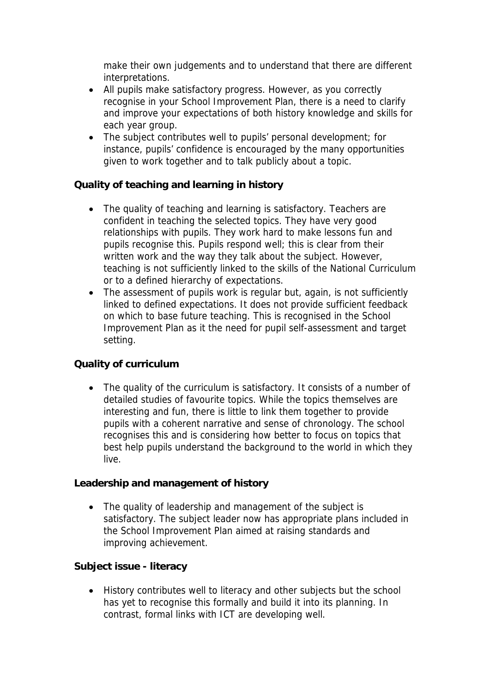make their own judgements and to understand that there are different interpretations.

- All pupils make satisfactory progress. However, as you correctly recognise in your School Improvement Plan, there is a need to clarify and improve your expectations of both history knowledge and skills for each year group.
- The subject contributes well to pupils' personal development; for instance, pupils' confidence is encouraged by the many opportunities given to work together and to talk publicly about a topic.

**Quality of teaching and learning in history**

- The quality of teaching and learning is satisfactory. Teachers are confident in teaching the selected topics. They have very good relationships with pupils. They work hard to make lessons fun and pupils recognise this. Pupils respond well; this is clear from their written work and the way they talk about the subject. However, teaching is not sufficiently linked to the skills of the National Curriculum or to a defined hierarchy of expectations.
- The assessment of pupils work is regular but, again, is not sufficiently linked to defined expectations. It does not provide sufficient feedback on which to base future teaching. This is recognised in the School Improvement Plan as it the need for pupil self-assessment and target setting.

## **Quality of curriculum**

• The quality of the curriculum is satisfactory. It consists of a number of detailed studies of favourite topics. While the topics themselves are interesting and fun, there is little to link them together to provide pupils with a coherent narrative and sense of chronology. The school recognises this and is considering how better to focus on topics that best help pupils understand the background to the world in which they live.

**Leadership and management of history**

• The quality of leadership and management of the subject is satisfactory. The subject leader now has appropriate plans included in the School Improvement Plan aimed at raising standards and improving achievement.

**Subject issue - literacy**

 History contributes well to literacy and other subjects but the school has yet to recognise this formally and build it into its planning. In contrast, formal links with ICT are developing well.